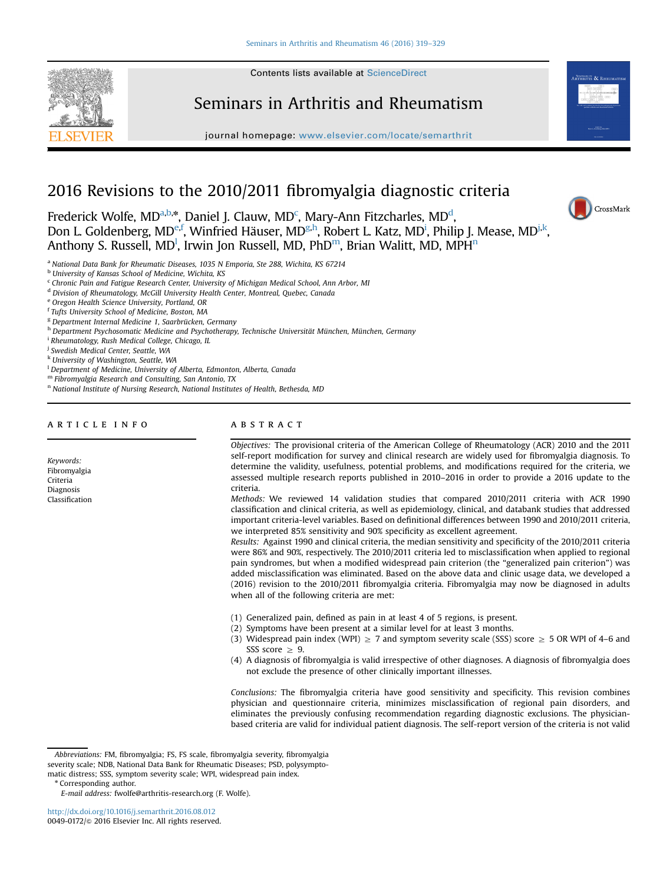

# Seminars in Arthritis and Rheumatism

journal homepage: <www.elsevier.com/locate/semarthrit>

# 2016 Revisions to the 2010/2011 fibromyalgia diagnostic criteria

Frederick Wolfe, MD<sup>a,b,\*</sup>, Daniel J. Clauw, MD<sup>c</sup>, Mary-Ann Fitzcharles, MD<sup>d</sup>, Don L. Goldenberg, MD<sup>e,f</sup>, Winfried Häuser, MD<sup>g,h</sup>, Robert L. Katz, MD<sup>i</sup>, Philip J. Mease, MD<sup>j,k</sup>, Anthony S. Russell, MD<sup>1</sup>, Irwin Jon Russell, MD, PhD<sup>m</sup>, Brian Walitt, MD, MPH<sup>n</sup>

<sup>a</sup> National Data Bank for Rheumatic Diseases, 1035 N Emporia, Ste 288, Wichita, KS 67214

<sup>b</sup> University of Kansas School of Medicine, Wichita, KS

<sup>c</sup> Chronic Pain and Fatigue Research Center, University of Michigan Medical School, Ann Arbor, MI

<sup>d</sup> Division of Rheumatology, McGill University Health Center, Montreal, Quebec, Canada

<sup>e</sup> Oregon Health Science University, Portland, OR

<sup>f</sup> Tufts University School of Medicine, Boston, MA

<sup>g</sup> Department Internal Medicine 1, Saarbrücken, Germany

h Department Psychosomatic Medicine and Psychotherapy, Technische Universität München, München, Germany

<sup>i</sup> Rheumatology, Rush Medical College, Chicago, IL

<sup>i</sup> Swedish Medical Center, Seattle, WA

<sup>k</sup> University of Washington, Seattle, WA

 $^{\rm l}$  Department of Medicine, University of Alberta, Edmonton, Alberta, Canada

<sup>m</sup> Fibromyalgia Research and Consulting, San Antonio, TX

<sup>n</sup> National Institute of Nursing Research, National Institutes of Health, Bethesda, MD

## article info

Keywords: Fibromyalgia Criteria Diagnosis Classification

## **ABSTRACT**

Objectives: The provisional criteria of the American College of Rheumatology (ACR) 2010 and the 2011 self-report modification for survey and clinical research are widely used for fibromyalgia diagnosis. To determine the validity, usefulness, potential problems, and modifications required for the criteria, we assessed multiple research reports published in 2010–2016 in order to provide a 2016 update to the criteria.

CrossMark

Methods: We reviewed 14 validation studies that compared 2010/2011 criteria with ACR 1990 classification and clinical criteria, as well as epidemiology, clinical, and databank studies that addressed important criteria-level variables. Based on definitional differences between 1990 and 2010/2011 criteria, we interpreted 85% sensitivity and 90% specificity as excellent agreement.

Results: Against 1990 and clinical criteria, the median sensitivity and specificity of the 2010/2011 criteria were 86% and 90%, respectively. The 2010/2011 criteria led to misclassification when applied to regional pain syndromes, but when a modified widespread pain criterion (the "generalized pain criterion") was added misclassification was eliminated. Based on the above data and clinic usage data, we developed a (2016) revision to the 2010/2011 fibromyalgia criteria. Fibromyalgia may now be diagnosed in adults when all of the following criteria are met:

- (1) Generalized pain, defined as pain in at least 4 of 5 regions, is present.
- (2) Symptoms have been present at a similar level for at least 3 months.
- (3) Widespread pain index (WPI)  $\geq$  7 and symptom severity scale (SSS) score  $\geq$  5 OR WPI of 4–6 and SSS score  $\geq$  9.
- (4) A diagnosis of fibromyalgia is valid irrespective of other diagnoses. A diagnosis of fibromyalgia does not exclude the presence of other clinically important illnesses.

Conclusions: The fibromyalgia criteria have good sensitivity and specificity. This revision combines physician and questionnaire criteria, minimizes misclassification of regional pain disorders, and eliminates the previously confusing recommendation regarding diagnostic exclusions. The physicianbased criteria are valid for individual patient diagnosis. The self-report version of the criteria is not valid

matic distress; SSS, symptom severity scale; WPI, widespread pain index.

E-mail address: [fwolfe@arthritis-research.org \(F. Wolfe\).](mailto:fwolfe@arthritis-research.org)

<http://dx.doi.org/10.1016/j.semarthrit.2016.08.012> 0049-0172/@ 2016 Elsevier Inc. All rights reserved.

Abbreviations: FM, fibromyalgia; FS, FS scale, fibromyalgia severity, fibromyalgia severity scale; NDB, National Data Bank for Rheumatic Diseases; PSD, polysympto-

<sup>\*</sup> Corresponding author.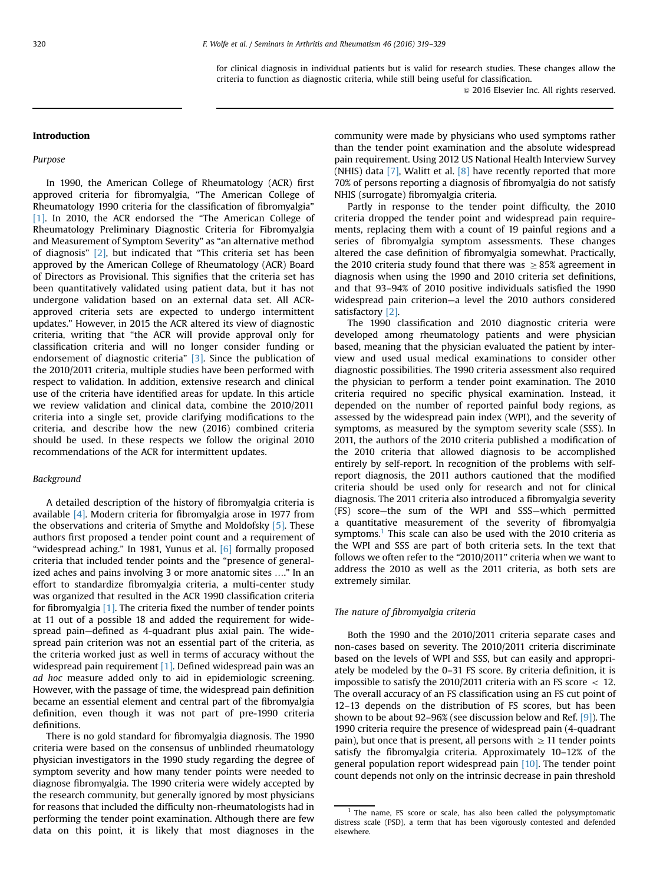for clinical diagnosis in individual patients but is valid for research studies. These changes allow the criteria to function as diagnostic criteria, while still being useful for classification.

 $\odot$  2016 Elsevier Inc. All rights reserved.

## Introduction

#### Purpose

In 1990, the American College of Rheumatology (ACR) first approved criteria for fibromyalgia, "The American College of Rheumatology 1990 criteria for the classification of fibromyalgia" [\[1\]](#page-9-0). In 2010, the ACR endorsed the "The American College of Rheumatology Preliminary Diagnostic Criteria for Fibromyalgia and Measurement of Symptom Severity" as "an alternative method of diagnosis"  $[2]$ , but indicated that "This criteria set has been approved by the American College of Rheumatology (ACR) Board of Directors as Provisional. This signifies that the criteria set has been quantitatively validated using patient data, but it has not undergone validation based on an external data set. All ACRapproved criteria sets are expected to undergo intermittent updates." However, in 2015 the ACR altered its view of diagnostic criteria, writing that "the ACR will provide approval only for classification criteria and will no longer consider funding or endorsement of diagnostic criteria" [\[3\]](#page-9-0). Since the publication of the 2010/2011 criteria, multiple studies have been performed with respect to validation. In addition, extensive research and clinical use of the criteria have identified areas for update. In this article we review validation and clinical data, combine the 2010/2011 criteria into a single set, provide clarifying modifications to the criteria, and describe how the new (2016) combined criteria should be used. In these respects we follow the original 2010 recommendations of the ACR for intermittent updates.

#### Background

A detailed description of the history of fibromyalgia criteria is available [\[4\]](#page-9-0). Modern criteria for fibromyalgia arose in 1977 from the observations and criteria of Smythe and Moldofsky [\[5\].](#page-9-0) These authors first proposed a tender point count and a requirement of "widespread aching." In 1981, Yunus et al. [\[6\]](#page-9-0) formally proposed criteria that included tender points and the "presence of generalized aches and pains involving 3 or more anatomic sites …." In an effort to standardize fibromyalgia criteria, a multi-center study was organized that resulted in the ACR 1990 classification criteria for fibromyalgia [\[1\].](#page-9-0) The criteria fixed the number of tender points at 11 out of a possible 18 and added the requirement for widespread pain—defined as 4-quadrant plus axial pain. The widespread pain criterion was not an essential part of the criteria, as the criteria worked just as well in terms of accuracy without the widespread pain requirement [\[1\].](#page-9-0) Defined widespread pain was an ad hoc measure added only to aid in epidemiologic screening. However, with the passage of time, the widespread pain definition became an essential element and central part of the fibromyalgia definition, even though it was not part of pre-1990 criteria definitions.

There is no gold standard for fibromyalgia diagnosis. The 1990 criteria were based on the consensus of unblinded rheumatology physician investigators in the 1990 study regarding the degree of symptom severity and how many tender points were needed to diagnose fibromyalgia. The 1990 criteria were widely accepted by the research community, but generally ignored by most physicians for reasons that included the difficulty non-rheumatologists had in performing the tender point examination. Although there are few data on this point, it is likely that most diagnoses in the

community were made by physicians who used symptoms rather than the tender point examination and the absolute widespread pain requirement. Using 2012 US National Health Interview Survey (NHIS) data  $[7]$ , Walitt et al.  $[8]$  have recently reported that more 70% of persons reporting a diagnosis of fibromyalgia do not satisfy NHIS (surrogate) fibromyalgia criteria.

Partly in response to the tender point difficulty, the 2010 criteria dropped the tender point and widespread pain requirements, replacing them with a count of 19 painful regions and a series of fibromyalgia symptom assessments. These changes altered the case definition of fibromyalgia somewhat. Practically, the 2010 criteria study found that there was  $\geq$  85% agreement in diagnosis when using the 1990 and 2010 criteria set definitions, and that 93–94% of 2010 positive individuals satisfied the 1990 widespread pain criterion—a level the 2010 authors considered satisfactory [\[2\]](#page-9-0).

The 1990 classification and 2010 diagnostic criteria were developed among rheumatology patients and were physician based, meaning that the physician evaluated the patient by interview and used usual medical examinations to consider other diagnostic possibilities. The 1990 criteria assessment also required the physician to perform a tender point examination. The 2010 criteria required no specific physical examination. Instead, it depended on the number of reported painful body regions, as assessed by the widespread pain index (WPI), and the severity of symptoms, as measured by the symptom severity scale (SSS). In 2011, the authors of the 2010 criteria published a modification of the 2010 criteria that allowed diagnosis to be accomplished entirely by self-report. In recognition of the problems with selfreport diagnosis, the 2011 authors cautioned that the modified criteria should be used only for research and not for clinical diagnosis. The 2011 criteria also introduced a fibromyalgia severity (FS) score—the sum of the WPI and SSS—which permitted a quantitative measurement of the severity of fibromyalgia symptoms.<sup>1</sup> This scale can also be used with the 2010 criteria as the WPI and SSS are part of both criteria sets. In the text that follows we often refer to the "2010/2011" criteria when we want to address the 2010 as well as the 2011 criteria, as both sets are extremely similar.

#### The nature of fibromyalgia criteria

Both the 1990 and the 2010/2011 criteria separate cases and non-cases based on severity. The 2010/2011 criteria discriminate based on the levels of WPI and SSS, but can easily and appropriately be modeled by the 0–31 FS score. By criteria definition, it is impossible to satisfy the 2010/2011 criteria with an FS score  $\langle 12.5 \rangle$ The overall accuracy of an FS classification using an FS cut point of 12–13 depends on the distribution of FS scores, but has been shown to be about 92–96% (see discussion below and Ref. [\[9\]](#page-9-0)). The 1990 criteria require the presence of widespread pain (4-quadrant pain), but once that is present, all persons with  $\geq 11$  tender points satisfy the fibromyalgia criteria. Approximately 10–12% of the general population report widespread pain [\[10\]](#page-9-0). The tender point count depends not only on the intrinsic decrease in pain threshold

 $1$  The name, FS score or scale, has also been called the polysymptomatic distress scale (PSD), a term that has been vigorously contested and defended elsewhere.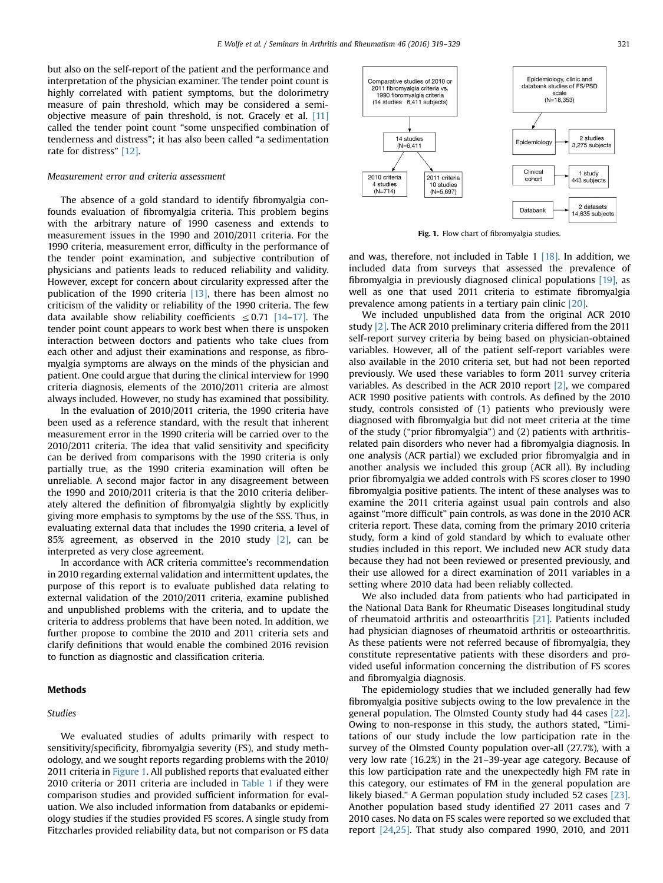but also on the self-report of the patient and the performance and interpretation of the physician examiner. The tender point count is highly correlated with patient symptoms, but the dolorimetry measure of pain threshold, which may be considered a semiobjective measure of pain threshold, is not. Gracely et al. [\[11\]](#page-9-0) called the tender point count "some unspecified combination of tenderness and distress"; it has also been called "a sedimentation rate for distress" [\[12\].](#page-9-0)

#### Measurement error and criteria assessment

The absence of a gold standard to identify fibromyalgia confounds evaluation of fibromyalgia criteria. This problem begins with the arbitrary nature of 1990 caseness and extends to measurement issues in the 1990 and 2010/2011 criteria. For the 1990 criteria, measurement error, difficulty in the performance of the tender point examination, and subjective contribution of physicians and patients leads to reduced reliability and validity. However, except for concern about circularity expressed after the publication of the 1990 criteria [\[13\],](#page-9-0) there has been almost no criticism of the validity or reliability of the 1990 criteria. The few data available show reliability coefficients  $\leq 0.71$  [\[14](#page-9-0)–[17\].](#page-9-0) The tender point count appears to work best when there is unspoken interaction between doctors and patients who take clues from each other and adjust their examinations and response, as fibromyalgia symptoms are always on the minds of the physician and patient. One could argue that during the clinical interview for 1990 criteria diagnosis, elements of the 2010/2011 criteria are almost always included. However, no study has examined that possibility.

In the evaluation of 2010/2011 criteria, the 1990 criteria have been used as a reference standard, with the result that inherent measurement error in the 1990 criteria will be carried over to the 2010/2011 criteria. The idea that valid sensitivity and specificity can be derived from comparisons with the 1990 criteria is only partially true, as the 1990 criteria examination will often be unreliable. A second major factor in any disagreement between the 1990 and 2010/2011 criteria is that the 2010 criteria deliberately altered the definition of fibromyalgia slightly by explicitly giving more emphasis to symptoms by the use of the SSS. Thus, in evaluating external data that includes the 1990 criteria, a level of 85% agreement, as observed in the 2010 study [\[2\],](#page-9-0) can be interpreted as very close agreement.

In accordance with ACR criteria committee's recommendation in 2010 regarding external validation and intermittent updates, the purpose of this report is to evaluate published data relating to external validation of the 2010/2011 criteria, examine published and unpublished problems with the criteria, and to update the criteria to address problems that have been noted. In addition, we further propose to combine the 2010 and 2011 criteria sets and clarify definitions that would enable the combined 2016 revision to function as diagnostic and classification criteria.

#### **Methods**

#### Studies

We evaluated studies of adults primarily with respect to sensitivity/specificity, fibromyalgia severity (FS), and study methodology, and we sought reports regarding problems with the 2010/ 2011 criteria in Figure 1. All published reports that evaluated either 2010 criteria or 2011 criteria are included in [Table 1](#page-3-0) if they were comparison studies and provided sufficient information for evaluation. We also included information from databanks or epidemiology studies if the studies provided FS scores. A single study from Fitzcharles provided reliability data, but not comparison or FS data



Fig. 1. Flow chart of fibromyalgia studies.

and was, therefore, not included in Table  $1$  [\[18\].](#page-9-0) In addition, we included data from surveys that assessed the prevalence of fibromyalgia in previously diagnosed clinical populations [\[19\]](#page-9-0), as well as one that used 2011 criteria to estimate fibromyalgia prevalence among patients in a tertiary pain clinic [\[20\].](#page-9-0)

We included unpublished data from the original ACR 2010 study [\[2\]](#page-9-0). The ACR 2010 preliminary criteria differed from the 2011 self-report survey criteria by being based on physician-obtained variables. However, all of the patient self-report variables were also available in the 2010 criteria set, but had not been reported previously. We used these variables to form 2011 survey criteria variables. As described in the ACR 2010 report [\[2\]](#page-9-0), we compared ACR 1990 positive patients with controls. As defined by the 2010 study, controls consisted of (1) patients who previously were diagnosed with fibromyalgia but did not meet criteria at the time of the study ("prior fibromyalgia") and (2) patients with arthritisrelated pain disorders who never had a fibromyalgia diagnosis. In one analysis (ACR partial) we excluded prior fibromyalgia and in another analysis we included this group (ACR all). By including prior fibromyalgia we added controls with FS scores closer to 1990 fibromyalgia positive patients. The intent of these analyses was to examine the 2011 criteria against usual pain controls and also against "more difficult" pain controls, as was done in the 2010 ACR criteria report. These data, coming from the primary 2010 criteria study, form a kind of gold standard by which to evaluate other studies included in this report. We included new ACR study data because they had not been reviewed or presented previously, and their use allowed for a direct examination of 2011 variables in a setting where 2010 data had been reliably collected.

We also included data from patients who had participated in the National Data Bank for Rheumatic Diseases longitudinal study of rheumatoid arthritis and osteoarthritis [\[21\]](#page-10-0). Patients included had physician diagnoses of rheumatoid arthritis or osteoarthritis. As these patients were not referred because of fibromyalgia, they constitute representative patients with these disorders and provided useful information concerning the distribution of FS scores and fibromyalgia diagnosis.

The epidemiology studies that we included generally had few fibromyalgia positive subjects owing to the low prevalence in the general population. The Olmsted County study had 44 cases [\[22\].](#page-10-0) Owing to non-response in this study, the authors stated, "Limitations of our study include the low participation rate in the survey of the Olmsted County population over-all (27.7%), with a very low rate (16.2%) in the 21–39-year age category. Because of this low participation rate and the unexpectedly high FM rate in this category, our estimates of FM in the general population are likely biased." A German population study included 52 cases [\[23\].](#page-10-0) Another population based study identified 27 2011 cases and 7 2010 cases. No data on FS scales were reported so we excluded that report [\[24,25\].](#page-10-0) That study also compared 1990, 2010, and 2011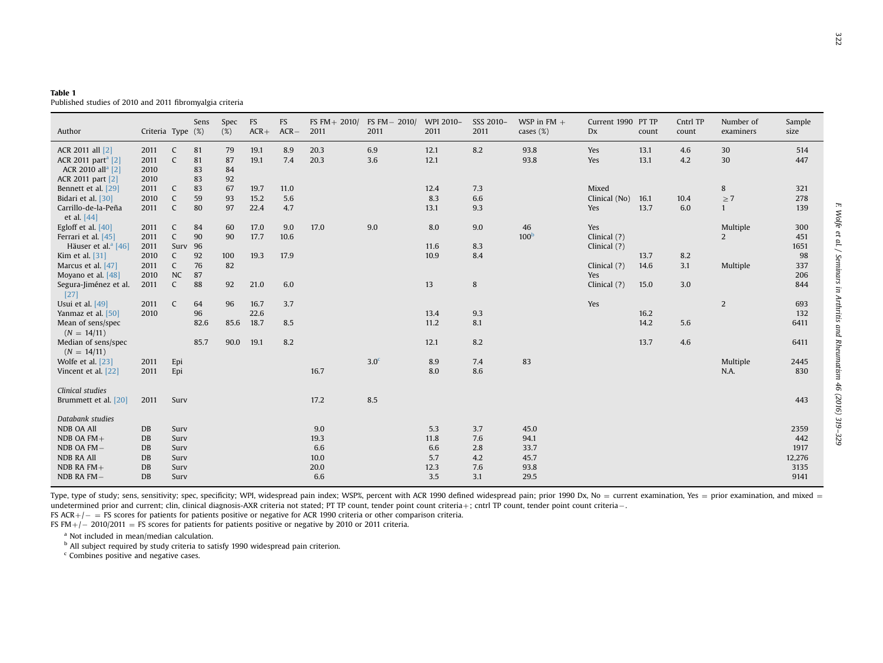<span id="page-3-0"></span>

| Table 1 |  |  |                                                          |  |
|---------|--|--|----------------------------------------------------------|--|
|         |  |  | Published studies of 2010 and 2011 fibromyalgia criteria |  |

| Author                                                                                          | Criteria Type (%)                               |                                                | Sens                 | Spec<br>(%)          | FS<br>$ACR+$         | FS<br>$ACR -$      | FS FM + $2010/$<br>2011            | FS FM - 2010/<br>2011 | WPI 2010-<br>2011                 | SSS 2010-<br>2011               | WSP in $FM +$<br>cases $(\%)$        | Current 1990 PT TP<br>Dx              | count                | Cntrl TP<br>count | Number of<br>examiners        | Sample<br>size                        |
|-------------------------------------------------------------------------------------------------|-------------------------------------------------|------------------------------------------------|----------------------|----------------------|----------------------|--------------------|------------------------------------|-----------------------|-----------------------------------|---------------------------------|--------------------------------------|---------------------------------------|----------------------|-------------------|-------------------------------|---------------------------------------|
| ACR 2011 all [2]<br>ACR 2011 part <sup>a</sup> [2]<br>ACR 2010 all <sup>a</sup> [2]             | 2011<br>2011<br>2010<br>2010                    | C<br>$\mathsf{C}$                              | 81<br>81<br>83<br>83 | 79<br>87<br>84<br>92 | 19.1<br>19.1         | 8.9<br>7.4         | 20.3<br>20.3                       | 6.9<br>3.6            | 12.1<br>12.1                      | 8.2                             | 93.8<br>93.8                         | Yes<br>Yes                            | 13.1<br>13.1         | 4.6<br>4.2        | 30<br>30                      | 514<br>447                            |
| ACR 2011 part [2]<br>Bennett et al. [29]<br>Bidari et al. [30]<br>Carrillo-de-la-Peña           | 2011<br>2010<br>2011                            | C<br>$\mathsf C$<br>$\mathsf{C}$               | 83<br>59<br>80       | 67<br>93<br>97       | 19.7<br>15.2<br>22.4 | 11.0<br>5.6<br>4.7 |                                    |                       | 12.4<br>8.3<br>13.1               | 7.3<br>6.6<br>9.3               |                                      | Mixed<br>Clinical (No)<br>Yes         | 16.1<br>13.7         | 10.4<br>6.0       | 8<br>$\geq 7$<br>$\mathbf{1}$ | 321<br>278<br>139                     |
| et al. $[44]$<br>Egloff et al. $[40]$<br>Ferrari et al. [45]<br>Häuser et al. <sup>a</sup> [46] | 2011<br>2011<br>2011                            | C<br>$\mathsf{C}$<br>Surv                      | 84<br>90<br>96       | 60<br>90             | 17.0<br>17.7         | 9.0<br>10.6        | 17.0                               | 9.0                   | 8.0<br>11.6                       | 9.0<br>8.3                      | 46<br>100 <sup>b</sup>               | Yes<br>Clinical (?)<br>Clinical (?)   |                      |                   | Multiple<br>2                 | 300<br>451<br>1651                    |
| Kim et al. [31]<br>Marcus et al. [47]<br>Moyano et al. [48]<br>Segura-Jiménez et al.            | 2010<br>2011<br>2010<br>2011                    | $\mathsf{C}$<br>$\mathsf{C}$<br><b>NC</b><br>C | 92<br>76<br>87<br>88 | 100<br>82<br>92      | 19.3<br>21.0         | 17.9<br>6.0        |                                    |                       | 10.9<br>13                        | 8.4<br>8                        |                                      | Clinical $(?)$<br>Yes<br>Clinical (?) | 13.7<br>14.6<br>15.0 | 8.2<br>3.1<br>3.0 | Multiple                      | 98<br>337<br>206<br>844               |
| $[27]$<br>Usui et al. $[49]$<br>Yanmaz et al. [50]<br>Mean of sens/spec                         | 2011<br>2010                                    | C                                              | 64<br>96<br>82.6     | 96<br>85.6           | 16.7<br>22.6<br>18.7 | 3.7<br>8.5         |                                    |                       | 13.4<br>11.2                      | 9.3<br>8.1                      |                                      | Yes                                   | 16.2<br>14.2         | 5.6               | $\overline{2}$                | 693<br>132<br>6411                    |
| $(N = 14/11)$<br>Median of sens/spec<br>$(N = 14/11)$                                           |                                                 |                                                | 85.7                 | 90.0                 | 19.1                 | 8.2                |                                    | 3.0 <sup>c</sup>      | 12.1<br>8.9                       | 8.2<br>7.4                      | 83                                   |                                       | 13.7                 | 4.6               | Multiple                      | 6411                                  |
| Wolfe et al. [23]<br>Vincent et al. [22]<br>Clinical studies                                    | 2011<br>2011                                    | Epi<br>Epi                                     |                      |                      |                      |                    | 16.7                               |                       | 8.0                               | 8.6                             |                                      |                                       |                      |                   | N.A.                          | 2445<br>830                           |
| Brummett et al. [20]<br>Databank studies<br>NDB OA All                                          | 2011<br>DB                                      | Surv<br>Surv                                   |                      |                      |                      |                    | 17.2<br>9.0                        | 8.5                   | 5.3                               | 3.7                             | 45.0                                 |                                       |                      |                   |                               | 443<br>2359                           |
| NDB OA $FM +$<br>$NDB$ OA $FM -$<br><b>NDB RA All</b><br>NDB RA $FM+$<br>NDB RA FM-             | <b>DB</b><br><b>DB</b><br>DB<br>DB<br><b>DB</b> | Surv<br>Surv<br>Surv<br>Surv<br>Surv           |                      |                      |                      |                    | 19.3<br>6.6<br>10.0<br>20.0<br>6.6 |                       | 11.8<br>6.6<br>5.7<br>12.3<br>3.5 | 7.6<br>2.8<br>4.2<br>7.6<br>3.1 | 94.1<br>33.7<br>45.7<br>93.8<br>29.5 |                                       |                      |                   |                               | 442<br>1917<br>12,276<br>3135<br>9141 |

Type, type of study; sens, sensitivity; spec, specificity; WPI, widespread pain index; WSP%, percent with ACR 1990 defined widespread pain; prior 1990 Dx, No = current examination, Yes = prior examination, and mixed = undetermined prior and current; clin, clinical diagnosis-AXR criteria not stated; PT TP count, tender point criteria+; cntrl TP count, tender point count criteria—.

FS ACR+/ $-$  = FS scores for patients for patients positive or negative for ACR 1990 criteria or other comparison criteria.

FS FM+/ $-$  2010/2011  $=$  FS scores for patients for patients positive or negative by 2010 or 2011 criteria.

<sup>a</sup> Not included in mean/median calculation.

<sup>b</sup> All subject required by study criteria to satisfy 1990 widespread pain criterion.

<sup>c</sup> Combines positive and negative cases.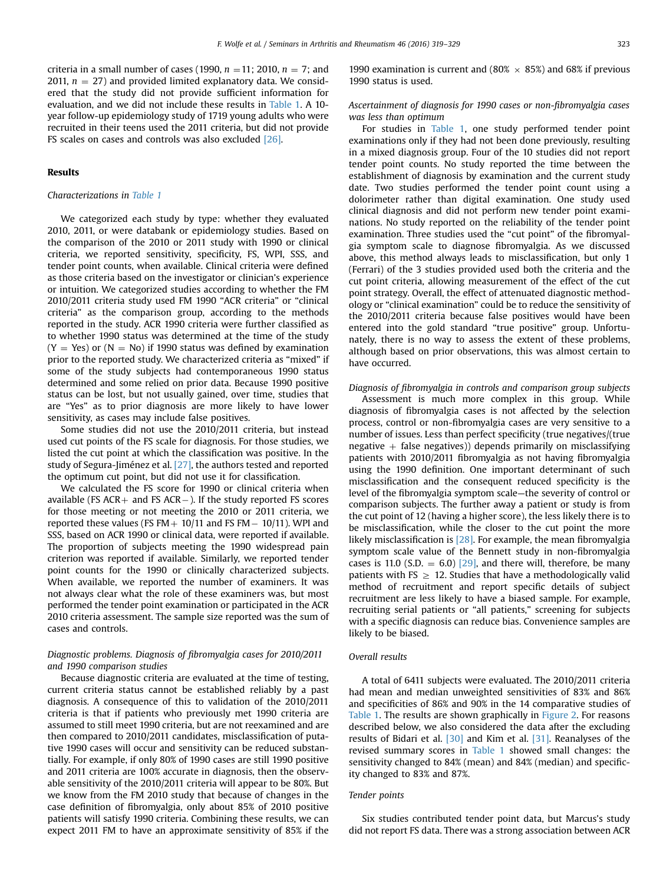criteria in a small number of cases (1990,  $n = 11$ ; 2010,  $n = 7$ ; and 2011,  $n = 27$ ) and provided limited explanatory data. We considered that the study did not provide sufficient information for evaluation, and we did not include these results in [Table 1](#page-3-0). A 10 year follow-up epidemiology study of 1719 young adults who were recruited in their teens used the 2011 criteria, but did not provide FS scales on cases and controls was also excluded [\[26\].](#page-10-0)

#### Results

#### Characterizations in [Table 1](#page-3-0)

We categorized each study by type: whether they evaluated 2010, 2011, or were databank or epidemiology studies. Based on the comparison of the 2010 or 2011 study with 1990 or clinical criteria, we reported sensitivity, specificity, FS, WPI, SSS, and tender point counts, when available. Clinical criteria were defined as those criteria based on the investigator or clinician's experience or intuition. We categorized studies according to whether the FM 2010/2011 criteria study used FM 1990 "ACR criteria" or "clinical criteria" as the comparison group, according to the methods reported in the study. ACR 1990 criteria were further classified as to whether 1990 status was determined at the time of the study  $(Y = Yes)$  or  $(N = No)$  if 1990 status was defined by examination prior to the reported study. We characterized criteria as "mixed" if some of the study subjects had contemporaneous 1990 status determined and some relied on prior data. Because 1990 positive status can be lost, but not usually gained, over time, studies that are "Yes" as to prior diagnosis are more likely to have lower sensitivity, as cases may include false positives.

Some studies did not use the 2010/2011 criteria, but instead used cut points of the FS scale for diagnosis. For those studies, we listed the cut point at which the classification was positive. In the study of Segura-Jiménez et al. [\[27\]](#page-10-0), the authors tested and reported the optimum cut point, but did not use it for classification.

We calculated the FS score for 1990 or clinical criteria when available (FS  $ACR$  + and FS  $ACR$  – ). If the study reported FS scores for those meeting or not meeting the 2010 or 2011 criteria, we reported these values (FS FM  $+$  10/11 and FS FM  $-$  10/11). WPI and SSS, based on ACR 1990 or clinical data, were reported if available. The proportion of subjects meeting the 1990 widespread pain criterion was reported if available. Similarly, we reported tender point counts for the 1990 or clinically characterized subjects. When available, we reported the number of examiners. It was not always clear what the role of these examiners was, but most performed the tender point examination or participated in the ACR 2010 criteria assessment. The sample size reported was the sum of cases and controls.

## Diagnostic problems. Diagnosis of fibromyalgia cases for 2010/2011 and 1990 comparison studies

Because diagnostic criteria are evaluated at the time of testing, current criteria status cannot be established reliably by a past diagnosis. A consequence of this to validation of the 2010/2011 criteria is that if patients who previously met 1990 criteria are assumed to still meet 1990 criteria, but are not reexamined and are then compared to 2010/2011 candidates, misclassification of putative 1990 cases will occur and sensitivity can be reduced substantially. For example, if only 80% of 1990 cases are still 1990 positive and 2011 criteria are 100% accurate in diagnosis, then the observable sensitivity of the 2010/2011 criteria will appear to be 80%. But we know from the FM 2010 study that because of changes in the case definition of fibromyalgia, only about 85% of 2010 positive patients will satisfy 1990 criteria. Combining these results, we can expect 2011 FM to have an approximate sensitivity of 85% if the

1990 examination is current and (80%  $\times$  85%) and 68% if previous 1990 status is used.

Ascertainment of diagnosis for 1990 cases or non-fibromyalgia cases was less than optimum

For studies in [Table 1](#page-3-0), one study performed tender point examinations only if they had not been done previously, resulting in a mixed diagnosis group. Four of the 10 studies did not report tender point counts. No study reported the time between the establishment of diagnosis by examination and the current study date. Two studies performed the tender point count using a dolorimeter rather than digital examination. One study used clinical diagnosis and did not perform new tender point examinations. No study reported on the reliability of the tender point examination. Three studies used the "cut point" of the fibromyalgia symptom scale to diagnose fibromyalgia. As we discussed above, this method always leads to misclassification, but only 1 (Ferrari) of the 3 studies provided used both the criteria and the cut point criteria, allowing measurement of the effect of the cut point strategy. Overall, the effect of attenuated diagnostic methodology or "clinical examination" could be to reduce the sensitivity of the 2010/2011 criteria because false positives would have been entered into the gold standard "true positive" group. Unfortunately, there is no way to assess the extent of these problems, although based on prior observations, this was almost certain to have occurred.

Diagnosis of fibromyalgia in controls and comparison group subjects

Assessment is much more complex in this group. While diagnosis of fibromyalgia cases is not affected by the selection process, control or non-fibromyalgia cases are very sensitive to a number of issues. Less than perfect specificity (true negatives/(true negative  $+$  false negatives)) depends primarily on misclassifying patients with 2010/2011 fibromyalgia as not having fibromyalgia using the 1990 definition. One important determinant of such misclassification and the consequent reduced specificity is the level of the fibromyalgia symptom scale—the severity of control or comparison subjects. The further away a patient or study is from the cut point of 12 (having a higher score), the less likely there is to be misclassification, while the closer to the cut point the more likely misclassification is  $[28]$ . For example, the mean fibromyalgia symptom scale value of the Bennett study in non-fibromyalgia cases is 11.0 (S.D.  $= 6.0$ ) [\[29\],](#page-10-0) and there will, therefore, be many patients with FS  $\geq 12$ . Studies that have a methodologically valid method of recruitment and report specific details of subject recruitment are less likely to have a biased sample. For example, recruiting serial patients or "all patients," screening for subjects with a specific diagnosis can reduce bias. Convenience samples are likely to be biased.

#### Overall results

A total of 6411 subjects were evaluated. The 2010/2011 criteria had mean and median unweighted sensitivities of 83% and 86% and specificities of 86% and 90% in the 14 comparative studies of [Table 1.](#page-3-0) The results are shown graphically in [Figure 2](#page-5-0). For reasons described below, we also considered the data after the excluding results of Bidari et al. [\[30\]](#page-10-0) and Kim et al. [\[31\].](#page-10-0) Reanalyses of the revised summary scores in [Table 1](#page-3-0) showed small changes: the sensitivity changed to 84% (mean) and 84% (median) and specificity changed to 83% and 87%.

#### Tender points

Six studies contributed tender point data, but Marcus's study did not report FS data. There was a strong association between ACR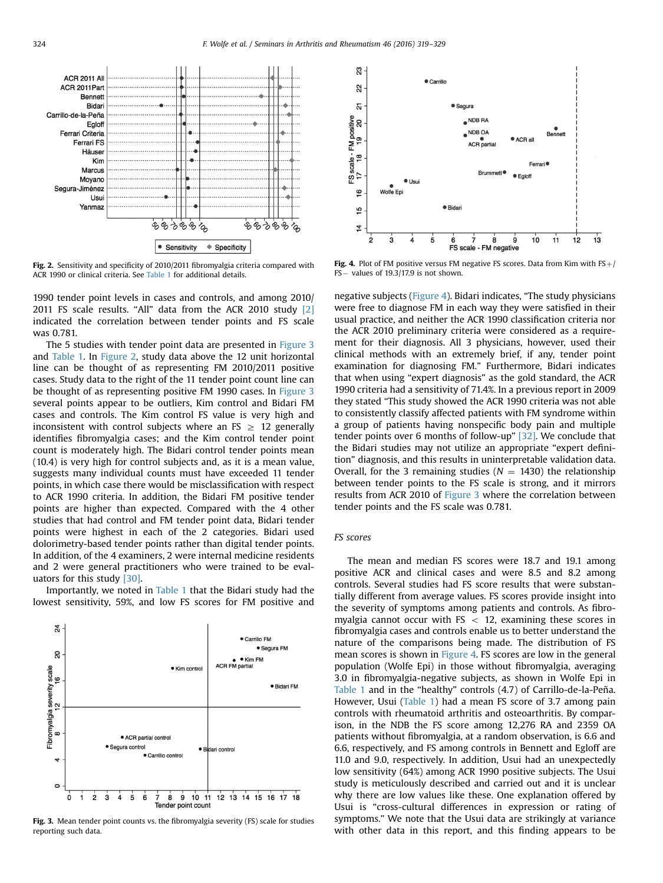Egloff Ferrari Criteria **Ferrari FS** Häuser Kim  $\bullet$ Marcus Moyano Segura-Jiménez Usui Yanmaz  $8838886$ ももうもも  $\bullet$  Sensitivity  $\triangle$  Specificity

Fig. 2. Sensitivity and specificity of 2010/2011 fibromyalgia criteria compared with ACR 1990 or clinical criteria. See [Table 1](#page-3-0) for additional details.

1990 tender point levels in cases and controls, and among 2010/ 2011 FS scale results. "All" data from the ACR 2010 study [\[2\]](#page-9-0) indicated the correlation between tender points and FS scale was 0.781.

The 5 studies with tender point data are presented in Figure 3 and [Table 1.](#page-3-0) In Figure 2, study data above the 12 unit horizontal line can be thought of as representing FM 2010/2011 positive cases. Study data to the right of the 11 tender point count line can be thought of as representing positive FM 1990 cases. In Figure 3 several points appear to be outliers, Kim control and Bidari FM cases and controls. The Kim control FS value is very high and inconsistent with control subjects where an FS  $\geq$  12 generally identifies fibromyalgia cases; and the Kim control tender point count is moderately high. The Bidari control tender points mean (10.4) is very high for control subjects and, as it is a mean value, suggests many individual counts must have exceeded 11 tender points, in which case there would be misclassification with respect to ACR 1990 criteria. In addition, the Bidari FM positive tender points are higher than expected. Compared with the 4 other studies that had control and FM tender point data, Bidari tender points were highest in each of the 2 categories. Bidari used dolorimetry-based tender points rather than digital tender points. In addition, of the 4 examiners, 2 were internal medicine residents and 2 were general practitioners who were trained to be evaluators for this study [\[30\].](#page-10-0)

Importantly, we noted in [Table 1](#page-3-0) that the Bidari study had the lowest sensitivity, 59%, and low FS scores for FM positive and



Fig. 3. Mean tender point counts vs. the fibromyalgia severity (FS) scale for studies reporting such data.



Fig. 4. Plot of FM positive versus FM negative FS scores. Data from Kim with FS $+/$ FS- values of 19.3/17.9 is not shown.

negative subjects (Figure 4). Bidari indicates, "The study physicians were free to diagnose FM in each way they were satisfied in their usual practice, and neither the ACR 1990 classification criteria nor the ACR 2010 preliminary criteria were considered as a requirement for their diagnosis. All 3 physicians, however, used their clinical methods with an extremely brief, if any, tender point examination for diagnosing FM." Furthermore, Bidari indicates that when using "expert diagnosis" as the gold standard, the ACR 1990 criteria had a sensitivity of 71.4%. In a previous report in 2009 they stated "This study showed the ACR 1990 criteria was not able to consistently classify affected patients with FM syndrome within a group of patients having nonspecific body pain and multiple tender points over 6 months of follow-up" [\[32\].](#page-10-0) We conclude that the Bidari studies may not utilize an appropriate "expert definition" diagnosis, and this results in uninterpretable validation data. Overall, for the 3 remaining studies ( $N = 1430$ ) the relationship between tender points to the FS scale is strong, and it mirrors results from ACR 2010 of Figure 3 where the correlation between tender points and the FS scale was 0.781.

## FS scores

The mean and median FS scores were 18.7 and 19.1 among positive ACR and clinical cases and were 8.5 and 8.2 among controls. Several studies had FS score results that were substantially different from average values. FS scores provide insight into the severity of symptoms among patients and controls. As fibromyalgia cannot occur with  $FS < 12$ , examining these scores in fibromyalgia cases and controls enable us to better understand the nature of the comparisons being made. The distribution of FS mean scores is shown in Figure 4. FS scores are low in the general population (Wolfe Epi) in those without fibromyalgia, averaging 3.0 in fibromyalgia-negative subjects, as shown in Wolfe Epi in [Table 1](#page-3-0) and in the "healthy" controls (4.7) of Carrillo‐de‐la‐Peña. However, Usui ([Table 1\)](#page-3-0) had a mean FS score of 3.7 among pain controls with rheumatoid arthritis and osteoarthritis. By comparison, in the NDB the FS score among 12,276 RA and 2359 OA patients without fibromyalgia, at a random observation, is 6.6 and 6.6, respectively, and FS among controls in Bennett and Egloff are 11.0 and 9.0, respectively. In addition, Usui had an unexpectedly low sensitivity (64%) among ACR 1990 positive subjects. The Usui study is meticulously described and carried out and it is unclear why there are low values like these. One explanation offered by Usui is "cross-cultural differences in expression or rating of symptoms." We note that the Usui data are strikingly at variance with other data in this report, and this finding appears to be

<span id="page-5-0"></span>**ACR 2011 All** 

ACR 2011 Part

Carrillo-de-la-Peña

**Bennett** Bidari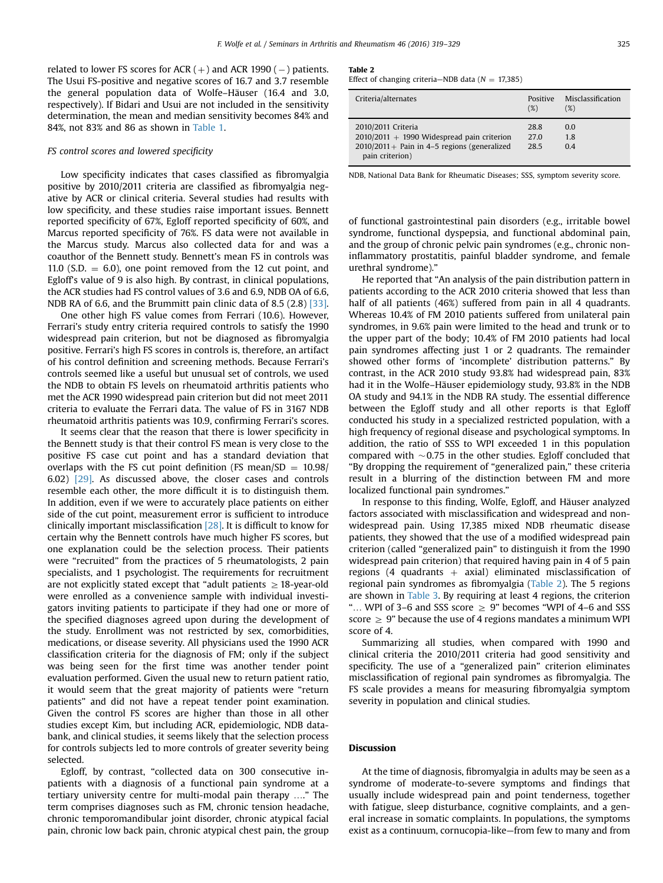<span id="page-6-0"></span>related to lower FS scores for  $ACR (+)$  and  $ACR$  1990 ( $-)$  patients. The Usui FS-positive and negative scores of 16.7 and 3.7 resemble the general population data of Wolfe–Häuser (16.4 and 3.0, respectively). If Bidari and Usui are not included in the sensitivity determination, the mean and median sensitivity becomes 84% and 84%, not 83% and 86 as shown in [Table 1.](#page-3-0)

#### FS control scores and lowered specificity

Low specificity indicates that cases classified as fibromyalgia positive by 2010/2011 criteria are classified as fibromyalgia negative by ACR or clinical criteria. Several studies had results with low specificity, and these studies raise important issues. Bennett reported specificity of 67%, Egloff reported specificity of 60%, and Marcus reported specificity of 76%. FS data were not available in the Marcus study. Marcus also collected data for and was a coauthor of the Bennett study. Bennett's mean FS in controls was 11.0 (S.D.  $= 6.0$ ), one point removed from the 12 cut point, and Egloff's value of 9 is also high. By contrast, in clinical populations, the ACR studies had FS control values of 3.6 and 6.9, NDB OA of 6.6, NDB RA of 6.6, and the Brummitt pain clinic data of 8.5 (2.8) [\[33\].](#page-10-0)

One other high FS value comes from Ferrari (10.6). However, Ferrari's study entry criteria required controls to satisfy the 1990 widespread pain criterion, but not be diagnosed as fibromyalgia positive. Ferrari's high FS scores in controls is, therefore, an artifact of his control definition and screening methods. Because Ferrari's controls seemed like a useful but unusual set of controls, we used the NDB to obtain FS levels on rheumatoid arthritis patients who met the ACR 1990 widespread pain criterion but did not meet 2011 criteria to evaluate the Ferrari data. The value of FS in 3167 NDB rheumatoid arthritis patients was 10.9, confirming Ferrari's scores.

It seems clear that the reason that there is lower specificity in the Bennett study is that their control FS mean is very close to the positive FS case cut point and has a standard deviation that overlaps with the FS cut point definition (FS mean/SD  $= 10.98/$ 6.02) [\[29\]](#page-10-0). As discussed above, the closer cases and controls resemble each other, the more difficult it is to distinguish them. In addition, even if we were to accurately place patients on either side of the cut point, measurement error is sufficient to introduce clinically important misclassification  $[28]$ . It is difficult to know for certain why the Bennett controls have much higher FS scores, but one explanation could be the selection process. Their patients were "recruited" from the practices of 5 rheumatologists, 2 pain specialists, and 1 psychologist. The requirements for recruitment are not explicitly stated except that "adult patients  $\geq 18$ -year-old were enrolled as a convenience sample with individual investigators inviting patients to participate if they had one or more of the specified diagnoses agreed upon during the development of the study. Enrollment was not restricted by sex, comorbidities, medications, or disease severity. All physicians used the 1990 ACR classification criteria for the diagnosis of FM; only if the subject was being seen for the first time was another tender point evaluation performed. Given the usual new to return patient ratio, it would seem that the great majority of patients were "return patients" and did not have a repeat tender point examination. Given the control FS scores are higher than those in all other studies except Kim, but including ACR, epidemiologic, NDB databank, and clinical studies, it seems likely that the selection process for controls subjects led to more controls of greater severity being selected.

Egloff, by contrast, "collected data on 300 consecutive inpatients with a diagnosis of a functional pain syndrome at a tertiary university centre for multi-modal pain therapy …." The term comprises diagnoses such as FM, chronic tension headache, chronic temporomandibular joint disorder, chronic atypical facial pain, chronic low back pain, chronic atypical chest pain, the group

#### Table 2

Effect of changing criteria—NDB data ( $N = 17,385$ )

| Criteria/alternates                                                                                                                     | Positive<br>(%)      | Misclassification<br>$(\%)$ |
|-----------------------------------------------------------------------------------------------------------------------------------------|----------------------|-----------------------------|
| 2010/2011 Criteria<br>$2010/2011 + 1990$ Widespread pain criterion<br>$2010/2011 +$ Pain in 4-5 regions (generalized<br>pain criterion) | 28.8<br>27.0<br>28.5 | 0.0<br>1.8<br>04            |

NDB, National Data Bank for Rheumatic Diseases; SSS, symptom severity score.

of functional gastrointestinal pain disorders (e.g., irritable bowel syndrome, functional dyspepsia, and functional abdominal pain, and the group of chronic pelvic pain syndromes (e.g., chronic noninflammatory prostatitis, painful bladder syndrome, and female urethral syndrome)."

He reported that "An analysis of the pain distribution pattern in patients according to the ACR 2010 criteria showed that less than half of all patients (46%) suffered from pain in all 4 quadrants. Whereas 10.4% of FM 2010 patients suffered from unilateral pain syndromes, in 9.6% pain were limited to the head and trunk or to the upper part of the body; 10.4% of FM 2010 patients had local pain syndromes affecting just 1 or 2 quadrants. The remainder showed other forms of 'incomplete' distribution patterns." By contrast, in the ACR 2010 study 93.8% had widespread pain, 83% had it in the Wolfe–Häuser epidemiology study, 93.8% in the NDB OA study and 94.1% in the NDB RA study. The essential difference between the Egloff study and all other reports is that Egloff conducted his study in a specialized restricted population, with a high frequency of regional disease and psychological symptoms. In addition, the ratio of SSS to WPI exceeded 1 in this population compared with  $\sim$  0.75 in the other studies. Egloff concluded that "By dropping the requirement of "generalized pain," these criteria result in a blurring of the distinction between FM and more localized functional pain syndromes."

In response to this finding, Wolfe, Egloff, and Häuser analyzed factors associated with misclassification and widespread and nonwidespread pain. Using 17,385 mixed NDB rheumatic disease patients, they showed that the use of a modified widespread pain criterion (called "generalized pain" to distinguish it from the 1990 widespread pain criterion) that required having pain in 4 of 5 pain regions (4 quadrants  $+$  axial) eliminated misclassification of regional pain syndromes as fibromyalgia (Table 2). The 5 regions are shown in [Table 3.](#page-7-0) By requiring at least 4 regions, the criterion "... WPI of 3–6 and SSS score  $\ge$  9" becomes "WPI of 4–6 and SSS score  $\geq$  9" because the use of 4 regions mandates a minimum WPI score of 4.

Summarizing all studies, when compared with 1990 and clinical criteria the 2010/2011 criteria had good sensitivity and specificity. The use of a "generalized pain" criterion eliminates misclassification of regional pain syndromes as fibromyalgia. The FS scale provides a means for measuring fibromyalgia symptom severity in population and clinical studies.

#### Discussion

At the time of diagnosis, fibromyalgia in adults may be seen as a syndrome of moderate-to-severe symptoms and findings that usually include widespread pain and point tenderness, together with fatigue, sleep disturbance, cognitive complaints, and a general increase in somatic complaints. In populations, the symptoms exist as a continuum, cornucopia-like—from few to many and from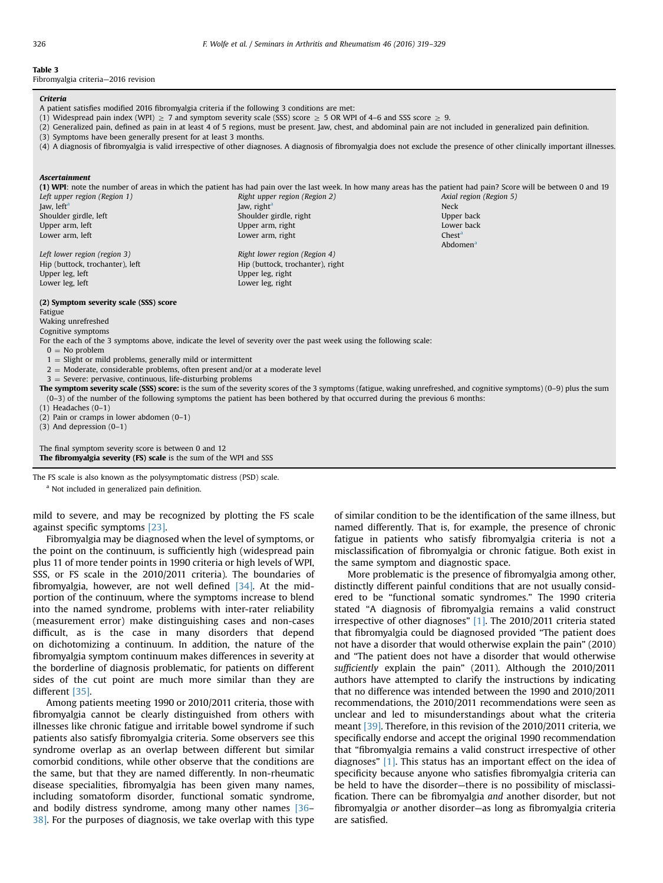## <span id="page-7-0"></span>Table 3

Fibromyalgia criteria—2016 revision

#### Criteria

- A patient satisfies modified 2016 fibromyalgia criteria if the following 3 conditions are met:
- (1) Widespread pain index (WPI)  $\geq$  7 and symptom severity scale (SSS) score  $\geq$  5 OR WPI of 4–6 and SSS score  $\geq$  9.
- (2) Generalized pain, defined as pain in at least 4 of 5 regions, must be present. Jaw, chest, and abdominal pain are not included in generalized pain definition.
- (3) Symptoms have been generally present for at least 3 months.
- (4) A diagnosis of fibromyalgia is valid irrespective of other diagnoses. A diagnosis of fibromyalgia does not exclude the presence of other clinically important illnesses.

#### Ascertainment

(1) WPI: note the number of areas in which the patient has had pain over the last week. In how many areas has the patient had pain? Score will be between 0 and 19 Left upper region (Region 1) The Right upper region (Region 2) Axial region (Region 5) Axial region (Region 5)

Jaw, left<sup>a</sup> Jaw, and the set of the  $\sim 1$  Jaw, right<sup>a</sup> Jaw, and the set of the Neck Shoulder girdle, left Shoulder girdle, right Shoulder girdle, right Upper back Upper arm, left Lower back Lower back Upper arm, right Lower back Lower back Lower back Lower arm, left Chest<sup>a</sup> Chest<sup>a</sup> Lower arm, right Chesta Chesta Chest<sup>a</sup> Left lower region (region 3) Right lower region (Region 4) Hip (buttock, trochanter), left Hip (buttock, trochanter), right Upper leg, left Upper leg, right

Lower leg, left Lower leg, right

#### (2) Symptom severity scale (SSS) score

Fatigue

Waking unrefreshed

Cognitive symptoms

For the each of the 3 symptoms above, indicate the level of severity over the past week using the following scale:

- $0 = No$  problem
- $1 =$  Slight or mild problems, generally mild or intermittent

 $2 =$  Moderate, considerable problems, often present and/or at a moderate level

 $3 =$  Severe: pervasive, continuous, life-disturbing problems

The symptom severity scale (SSS) score: is the sum of the severity scores of the 3 symptoms (fatigue, waking unrefreshed, and cognitive symptoms) (0-9) plus the sum (0–3) of the number of the following symptoms the patient has been bothered by that occurred during the previous 6 months:

(1) Headaches (0–1)

(2) Pain or cramps in lower abdomen (0–1)

(3) And depression (0–1)

The final symptom severity score is between 0 and 12 The fibromyalgia severity (FS) scale is the sum of the WPI and SSS

The FS scale is also known as the polysymptomatic distress (PSD) scale. <sup>a</sup> Not included in generalized pain definition.

mild to severe, and may be recognized by plotting the FS scale against specific symptoms [\[23\]](#page-10-0).

Fibromyalgia may be diagnosed when the level of symptoms, or the point on the continuum, is sufficiently high (widespread pain plus 11 of more tender points in 1990 criteria or high levels of WPI, SSS, or FS scale in the 2010/2011 criteria). The boundaries of fibromyalgia, however, are not well defined  $[34]$ . At the midportion of the continuum, where the symptoms increase to blend into the named syndrome, problems with inter-rater reliability (measurement error) make distinguishing cases and non-cases difficult, as is the case in many disorders that depend on dichotomizing a continuum. In addition, the nature of the fibromyalgia symptom continuum makes differences in severity at the borderline of diagnosis problematic, for patients on different sides of the cut point are much more similar than they are different [\[35\]](#page-10-0).

Among patients meeting 1990 or 2010/2011 criteria, those with fibromyalgia cannot be clearly distinguished from others with illnesses like chronic fatigue and irritable bowel syndrome if such patients also satisfy fibromyalgia criteria. Some observers see this syndrome overlap as an overlap between different but similar comorbid conditions, while other observe that the conditions are the same, but that they are named differently. In non-rheumatic disease specialities, fibromyalgia has been given many names, including somatoform disorder, functional somatic syndrome, and bodily distress syndrome, among many other names [\[36](#page-10-0)– [38\].](#page-10-0) For the purposes of diagnosis, we take overlap with this type

of similar condition to be the identification of the same illness, but named differently. That is, for example, the presence of chronic fatigue in patients who satisfy fibromyalgia criteria is not a misclassification of fibromyalgia or chronic fatigue. Both exist in the same symptom and diagnostic space.

Abdomen

More problematic is the presence of fibromyalgia among other, distinctly different painful conditions that are not usually considered to be "functional somatic syndromes." The 1990 criteria stated "A diagnosis of fibromyalgia remains a valid construct irrespective of other diagnoses" [\[1\].](#page-9-0) The 2010/2011 criteria stated that fibromyalgia could be diagnosed provided "The patient does not have a disorder that would otherwise explain the pain" (2010) and "The patient does not have a disorder that would otherwise sufficiently explain the pain" (2011). Although the 2010/2011 authors have attempted to clarify the instructions by indicating that no difference was intended between the 1990 and 2010/2011 recommendations, the 2010/2011 recommendations were seen as unclear and led to misunderstandings about what the criteria meant [\[39\]](#page-10-0). Therefore, in this revision of the 2010/2011 criteria, we specifically endorse and accept the original 1990 recommendation that "fibromyalgia remains a valid construct irrespective of other diagnoses" [\[1\]](#page-9-0). This status has an important effect on the idea of specificity because anyone who satisfies fibromyalgia criteria can be held to have the disorder—there is no possibility of misclassification. There can be fibromyalgia and another disorder, but not fibromyalgia or another disorder—as long as fibromyalgia criteria are satisfied.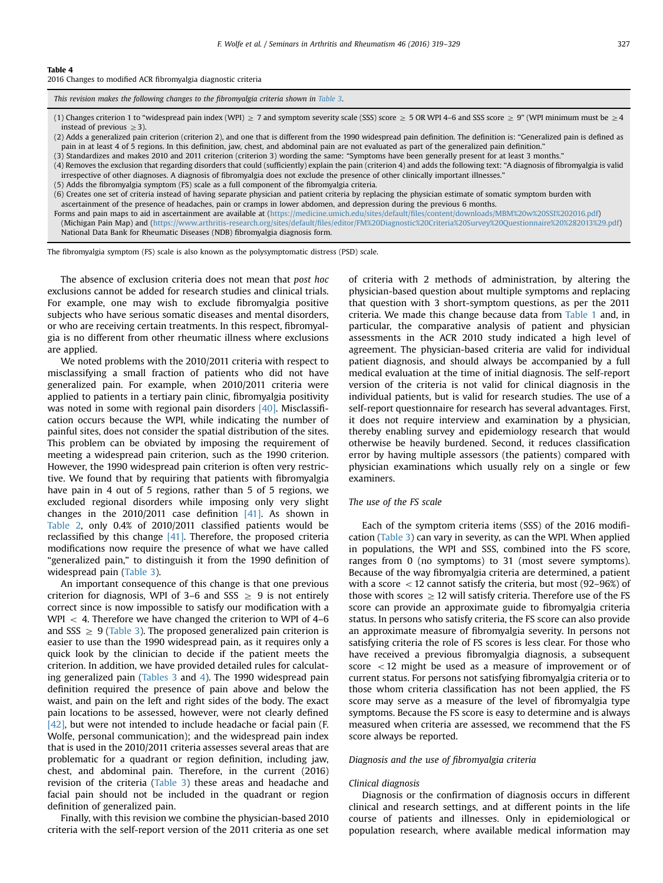#### Table 4

2016 Changes to modified ACR fibromyalgia diagnostic criteria

This revision makes the following changes to the fibromyalgia criteria shown in [Table 3](#page-7-0).

(1) Changes criterion 1 to "widespread pain index (WPI)  $\geq 7$  and symptom severity scale (SSS) score  $\geq 5$  OR WPI 4–6 and SSS score  $\geq 9$ " (WPI minimum must be  $\geq 4$ instead of previous  $>$ 3).

(2) Adds a generalized pain criterion (criterion 2), and one that is different from the 1990 widespread pain definition. The definition is: "Generalized pain is defined as pain in at least 4 of 5 regions. In this definition, jaw, chest, and abdominal pain are not evaluated as part of the generalized pain definition."

- (3) Standardizes and makes 2010 and 2011 criterion (criterion 3) wording the same: "Symptoms have been generally present for at least 3 months."
- (4) Removes the exclusion that regarding disorders that could (sufficiently) explain the pain (criterion 4) and adds the following text: "A diagnosis of fibromyalgia is valid irrespective of other diagnoses. A diagnosis of fibromyalgia does not exclude the presence of other clinically important illnesses."
- (5) Adds the fibromyalgia symptom (FS) scale as a full component of the fibromyalgia criteria.

(6) Creates one set of criteria instead of having separate physician and patient criteria by replacing the physician estimate of somatic symptom burden with ascertainment of the presence of headaches, pain or cramps in lower abdomen, and depression during the previous 6 months.

Forms and pain maps to aid in ascertainment are available at (https://medicine.umich.edu/sites/default/fi[les/content/downloads/MBM%20w%20SSI%202016.pdf\)](http://https://medicine.umich.edu/sites/default/files/content/downloads/MBM%20w%20SSI%202016.pdf) (Michigan Pain Map) and (https://www.arthritis-research.org/sites/default/fi[les/editor/FM%20Diagnostic%20Criteria%20Survey%20Questionnaire%20%282013%29.pdf\)](http://https://www.arthritis-research.org/sites/default/files/editor/FM%20Diagnostic%20Criteria%20Survey%20Questionnaire%20%282013%29.pdf) National Data Bank for Rheumatic Diseases (NDB) fibromyalgia diagnosis form.

The fibromyalgia symptom (FS) scale is also known as the polysymptomatic distress (PSD) scale.

The absence of exclusion criteria does not mean that post hoc exclusions cannot be added for research studies and clinical trials. For example, one may wish to exclude fibromyalgia positive subjects who have serious somatic diseases and mental disorders, or who are receiving certain treatments. In this respect, fibromyalgia is no different from other rheumatic illness where exclusions are applied.

We noted problems with the 2010/2011 criteria with respect to misclassifying a small fraction of patients who did not have generalized pain. For example, when 2010/2011 criteria were applied to patients in a tertiary pain clinic, fibromyalgia positivity was noted in some with regional pain disorders [\[40\]](#page-10-0). Misclassification occurs because the WPI, while indicating the number of painful sites, does not consider the spatial distribution of the sites. This problem can be obviated by imposing the requirement of meeting a widespread pain criterion, such as the 1990 criterion. However, the 1990 widespread pain criterion is often very restrictive. We found that by requiring that patients with fibromyalgia have pain in 4 out of 5 regions, rather than 5 of 5 regions, we excluded regional disorders while imposing only very slight changes in the 2010/2011 case definition [\[41\].](#page-10-0) As shown in [Table 2](#page-6-0), only 0.4% of 2010/2011 classified patients would be reclassified by this change  $[41]$ . Therefore, the proposed criteria modifications now require the presence of what we have called "generalized pain," to distinguish it from the 1990 definition of widespread pain ([Table 3](#page-7-0)).

An important consequence of this change is that one previous criterion for diagnosis, WPI of 3–6 and SSS  $\ge$  9 is not entirely correct since is now impossible to satisfy our modification with a WPI  $\langle$  4. Therefore we have changed the criterion to WPI of 4–6 and SSS  $\geq$  9 ([Table 3](#page-7-0)). The proposed generalized pain criterion is easier to use than the 1990 widespread pain, as it requires only a quick look by the clinician to decide if the patient meets the criterion. In addition, we have provided detailed rules for calculating generalized pain [\(Tables 3](#page-7-0) and 4). The 1990 widespread pain definition required the presence of pain above and below the waist, and pain on the left and right sides of the body. The exact pain locations to be assessed, however, were not clearly defined [\[42\],](#page-10-0) but were not intended to include headache or facial pain (F. Wolfe, personal communication); and the widespread pain index that is used in the 2010/2011 criteria assesses several areas that are problematic for a quadrant or region definition, including jaw, chest, and abdominal pain. Therefore, in the current (2016) revision of the criteria ([Table 3](#page-7-0)) these areas and headache and facial pain should not be included in the quadrant or region definition of generalized pain.

Finally, with this revision we combine the physician-based 2010 criteria with the self-report version of the 2011 criteria as one set of criteria with 2 methods of administration, by altering the physician-based question about multiple symptoms and replacing that question with 3 short-symptom questions, as per the 2011 criteria. We made this change because data from [Table 1](#page-3-0) and, in particular, the comparative analysis of patient and physician assessments in the ACR 2010 study indicated a high level of agreement. The physician-based criteria are valid for individual patient diagnosis, and should always be accompanied by a full medical evaluation at the time of initial diagnosis. The self-report version of the criteria is not valid for clinical diagnosis in the individual patients, but is valid for research studies. The use of a self-report questionnaire for research has several advantages. First, it does not require interview and examination by a physician, thereby enabling survey and epidemiology research that would otherwise be heavily burdened. Second, it reduces classification error by having multiple assessors (the patients) compared with physician examinations which usually rely on a single or few examiners.

#### The use of the FS scale

Each of the symptom criteria items (SSS) of the 2016 modification [\(Table 3\)](#page-7-0) can vary in severity, as can the WPI. When applied in populations, the WPI and SSS, combined into the FS score, ranges from 0 (no symptoms) to 31 (most severe symptoms). Because of the way fibromyalgia criteria are determined, a patient with a score  $<$  12 cannot satisfy the criteria, but most (92–96%) of those with scores  $\geq 12$  will satisfy criteria. Therefore use of the FS score can provide an approximate guide to fibromyalgia criteria status. In persons who satisfy criteria, the FS score can also provide an approximate measure of fibromyalgia severity. In persons not satisfying criteria the role of FS scores is less clear. For those who have received a previous fibromyalgia diagnosis, a subsequent score  $\langle 12 \rangle$  might be used as a measure of improvement or of current status. For persons not satisfying fibromyalgia criteria or to those whom criteria classification has not been applied, the FS score may serve as a measure of the level of fibromyalgia type symptoms. Because the FS score is easy to determine and is always measured when criteria are assessed, we recommend that the FS score always be reported.

#### Diagnosis and the use of fibromyalgia criteria

#### Clinical diagnosis

Diagnosis or the confirmation of diagnosis occurs in different clinical and research settings, and at different points in the life course of patients and illnesses. Only in epidemiological or population research, where available medical information may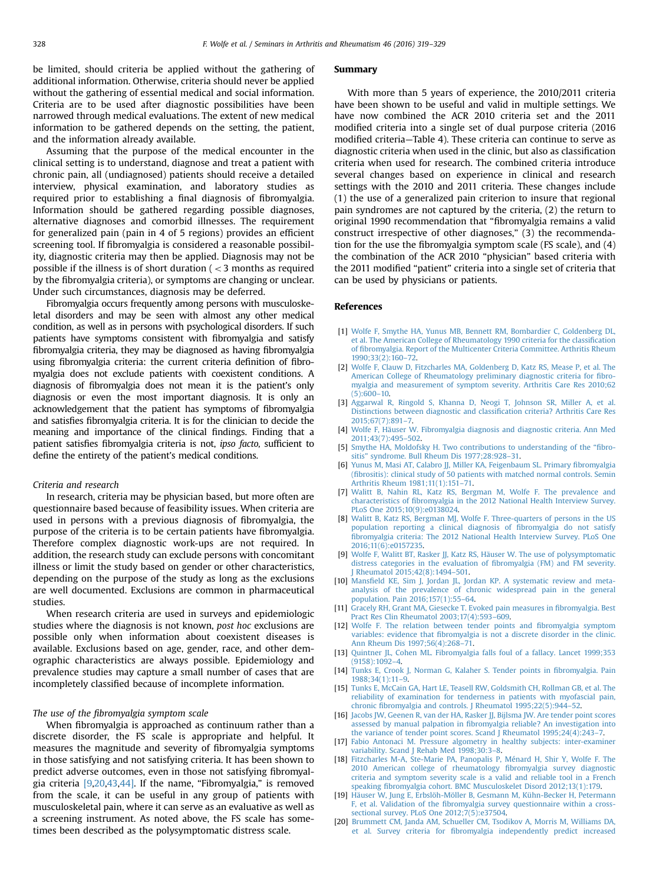<span id="page-9-0"></span>be limited, should criteria be applied without the gathering of additional information. Otherwise, criteria should never be applied without the gathering of essential medical and social information. Criteria are to be used after diagnostic possibilities have been narrowed through medical evaluations. The extent of new medical information to be gathered depends on the setting, the patient, and the information already available.

Assuming that the purpose of the medical encounter in the clinical setting is to understand, diagnose and treat a patient with chronic pain, all (undiagnosed) patients should receive a detailed interview, physical examination, and laboratory studies as required prior to establishing a final diagnosis of fibromyalgia. Information should be gathered regarding possible diagnoses, alternative diagnoses and comorbid illnesses. The requirement for generalized pain (pain in 4 of 5 regions) provides an efficient screening tool. If fibromyalgia is considered a reasonable possibility, diagnostic criteria may then be applied. Diagnosis may not be possible if the illness is of short duration ( $<$ 3 months as required by the fibromyalgia criteria), or symptoms are changing or unclear. Under such circumstances, diagnosis may be deferred.

Fibromyalgia occurs frequently among persons with musculoskeletal disorders and may be seen with almost any other medical condition, as well as in persons with psychological disorders. If such patients have symptoms consistent with fibromyalgia and satisfy fibromyalgia criteria, they may be diagnosed as having fibromyalgia using fibromyalgia criteria: the current criteria definition of fibromyalgia does not exclude patients with coexistent conditions. A diagnosis of fibromyalgia does not mean it is the patient's only diagnosis or even the most important diagnosis. It is only an acknowledgement that the patient has symptoms of fibromyalgia and satisfies fibromyalgia criteria. It is for the clinician to decide the meaning and importance of the clinical findings. Finding that a patient satisfies fibromyalgia criteria is not, ipso facto, sufficient to define the entirety of the patient's medical conditions.

#### Criteria and research

In research, criteria may be physician based, but more often are questionnaire based because of feasibility issues. When criteria are used in persons with a previous diagnosis of fibromyalgia, the purpose of the criteria is to be certain patients have fibromyalgia. Therefore complex diagnostic work-ups are not required. In addition, the research study can exclude persons with concomitant illness or limit the study based on gender or other characteristics, depending on the purpose of the study as long as the exclusions are well documented. Exclusions are common in pharmaceutical studies.

When research criteria are used in surveys and epidemiologic studies where the diagnosis is not known, post hoc exclusions are possible only when information about coexistent diseases is available. Exclusions based on age, gender, race, and other demographic characteristics are always possible. Epidemiology and prevalence studies may capture a small number of cases that are incompletely classified because of incomplete information.

#### The use of the fibromyalgia symptom scale

When fibromyalgia is approached as continuum rather than a discrete disorder, the FS scale is appropriate and helpful. It measures the magnitude and severity of fibromyalgia symptoms in those satisfying and not satisfying criteria. It has been shown to predict adverse outcomes, even in those not satisfying fibromyalgia criteria [9,20,[43,44\].](#page-10-0) If the name, "Fibromyalgia," is removed from the scale, it can be useful in any group of patients with musculoskeletal pain, where it can serve as an evaluative as well as a screening instrument. As noted above, the FS scale has sometimes been described as the polysymptomatic distress scale.

#### Summary

With more than 5 years of experience, the 2010/2011 criteria have been shown to be useful and valid in multiple settings. We have now combined the ACR 2010 criteria set and the 2011 modified criteria into a single set of dual purpose criteria (2016 modified criteria—Table 4). These criteria can continue to serve as diagnostic criteria when used in the clinic, but also as classification criteria when used for research. The combined criteria introduce several changes based on experience in clinical and research settings with the 2010 and 2011 criteria. These changes include (1) the use of a generalized pain criterion to insure that regional pain syndromes are not captured by the criteria, (2) the return to original 1990 recommendation that "fibromyalgia remains a valid construct irrespective of other diagnoses," (3) the recommendation for the use the fibromyalgia symptom scale (FS scale), and (4) the combination of the ACR 2010 "physician" based criteria with the 2011 modified "patient" criteria into a single set of criteria that can be used by physicians or patients.

#### References

- [1] [Wolfe F, Smythe HA, Yunus MB, Bennett RM, Bombardier C, Goldenberg DL,](http://refhub.elsevier.com/S0049-0172(16)30208-6/sbref1) [et al. The American College of Rheumatology 1990 criteria for the classi](http://refhub.elsevier.com/S0049-0172(16)30208-6/sbref1)fication of fi[bromyalgia. Report of the Multicenter Criteria Committee. Arthritis Rheum](http://refhub.elsevier.com/S0049-0172(16)30208-6/sbref1) [1990;33\(2\):160](http://refhub.elsevier.com/S0049-0172(16)30208-6/sbref1)–72.
- [2] [Wolfe F, Clauw D, Fitzcharles MA, Goldenberg D, Katz RS, Mease P, et al. The](http://refhub.elsevier.com/S0049-0172(16)30208-6/sbref2) [American College of Rheumatology preliminary diagnostic criteria for](http://refhub.elsevier.com/S0049-0172(16)30208-6/sbref2) fibro[myalgia and measurement of symptom severity. Arthritis Care Res 2010;62](http://refhub.elsevier.com/S0049-0172(16)30208-6/sbref2) [\(5\):600](http://refhub.elsevier.com/S0049-0172(16)30208-6/sbref2)–10.
- [3] [Aggarwal R, Ringold S, Khanna D, Neogi T, Johnson SR, Miller A, et al.](http://refhub.elsevier.com/S0049-0172(16)30208-6/sbref3) [Distinctions between diagnostic and classi](http://refhub.elsevier.com/S0049-0172(16)30208-6/sbref3)fication criteria? Arthritis Care Res [2015;67\(7\):891](http://refhub.elsevier.com/S0049-0172(16)30208-6/sbref3)–7.
- [4] [Wolfe F, Häuser W. Fibromyalgia diagnosis and diagnostic criteria. Ann Med](http://refhub.elsevier.com/S0049-0172(16)30208-6/sbref4) [2011;43\(7\):495](http://refhub.elsevier.com/S0049-0172(16)30208-6/sbref4)–502.
- [5] [Smythe HA, Moldofsky H. Two contributions to understanding of the](http://refhub.elsevier.com/S0049-0172(16)30208-6/sbref5) "fibrositis" [syndrome. Bull Rheum Dis 1977;28:928](http://refhub.elsevier.com/S0049-0172(16)30208-6/sbref5)–31.
- [6] [Yunus M, Masi AT, Calabro JJ, Miller KA, Feigenbaum SL. Primary](http://refhub.elsevier.com/S0049-0172(16)30208-6/sbref6) fibromyalgia (fi[brositis\): clinical study of 50 patients with matched normal controls. Semin](http://refhub.elsevier.com/S0049-0172(16)30208-6/sbref6) [Arthritis Rheum 1981;11\(1\):151](http://refhub.elsevier.com/S0049-0172(16)30208-6/sbref6)–71.
- [7] [Walitt B, Nahin RL, Katz RS, Bergman M, Wolfe F. The prevalence and](http://refhub.elsevier.com/S0049-0172(16)30208-6/sbref7) characteristics of fi[bromyalgia in the 2012 National Health Interview Survey.](http://refhub.elsevier.com/S0049-0172(16)30208-6/sbref7) [PLoS One 2015;10\(9\):e0138024.](http://refhub.elsevier.com/S0049-0172(16)30208-6/sbref7)
- [8] [Walitt B, Katz RS, Bergman MJ, Wolfe F. Three-quarters of persons in the US](http://refhub.elsevier.com/S0049-0172(16)30208-6/sbref500) [population reporting a clinical diagnosis of](http://refhub.elsevier.com/S0049-0172(16)30208-6/sbref500) fibromyalgia do not satisfy fi[bromyalgia criteria: The 2012 National Health Interview Survey. PLoS One](http://refhub.elsevier.com/S0049-0172(16)30208-6/sbref500) [2016;11\(6\):e0157235.](http://refhub.elsevier.com/S0049-0172(16)30208-6/sbref500)
- [9] [Wolfe F, Walitt BT, Rasker JJ, Katz RS, Häuser W. The use of polysymptomatic](http://refhub.elsevier.com/S0049-0172(16)30208-6/sbref8) [distress categories in the evaluation of](http://refhub.elsevier.com/S0049-0172(16)30208-6/sbref8) fibromyalgia (FM) and FM severity. Rheumatol 2015;42(8):1494-501.
- [10] Mansfi[eld KE, Sim J, Jordan JL, Jordan KP. A systematic review and meta](http://refhub.elsevier.com/S0049-0172(16)30208-6/sbref9)[analysis of the prevalence of chronic widespread pain in the general](http://refhub.elsevier.com/S0049-0172(16)30208-6/sbref9) [population. Pain 2016;157\(1\):55](http://refhub.elsevier.com/S0049-0172(16)30208-6/sbref9)–64.
- [11] [Gracely RH, Grant MA, Giesecke T. Evoked pain measures in](http://refhub.elsevier.com/S0049-0172(16)30208-6/sbref10) fibromyalgia. Best [Pract Res Clin Rheumatol 2003;17\(4\):593](http://refhub.elsevier.com/S0049-0172(16)30208-6/sbref10)–609.
- [12] [Wolfe F. The relation between tender points and](http://refhub.elsevier.com/S0049-0172(16)30208-6/sbref11) fibromyalgia symptom variables: evidence that fi[bromyalgia is not a discrete disorder in the clinic.](http://refhub.elsevier.com/S0049-0172(16)30208-6/sbref11) [Ann Rheum Dis 1997;56\(4\):268](http://refhub.elsevier.com/S0049-0172(16)30208-6/sbref11)–71.
- [13] [Quintner JL, Cohen ML. Fibromyalgia falls foul of a fallacy. Lancet 1999;353](http://refhub.elsevier.com/S0049-0172(16)30208-6/sbref12) [\(9158\):1092](http://refhub.elsevier.com/S0049-0172(16)30208-6/sbref12)–4.
- [14] [Tunks E, Crook J, Norman G, Kalaher S. Tender points in](http://refhub.elsevier.com/S0049-0172(16)30208-6/sbref13) fibromyalgia. Pain [1988;34\(1\):11](http://refhub.elsevier.com/S0049-0172(16)30208-6/sbref13)–9.
- [15] [Tunks E, McCain GA, Hart LE, Teasell RW, Goldsmith CH, Rollman GB, et al. The](http://refhub.elsevier.com/S0049-0172(16)30208-6/sbref14) [reliability of examination for tenderness in patients with myofascial pain,](http://refhub.elsevier.com/S0049-0172(16)30208-6/sbref14) chronic fi[bromyalgia and controls. J Rheumatol 1995;22\(5\):944](http://refhub.elsevier.com/S0049-0172(16)30208-6/sbref14)–52.
- [16] [Jacobs JW, Geenen R, van der HA, Rasker JJ, Bijlsma JW. Are tender point scores](http://refhub.elsevier.com/S0049-0172(16)30208-6/sbref15) assessed by manual palpation in fi[bromyalgia reliable? An investigation into](http://refhub.elsevier.com/S0049-0172(16)30208-6/sbref15) [the variance of tender point scores. Scand J Rheumatol 1995;24\(4\):243](http://refhub.elsevier.com/S0049-0172(16)30208-6/sbref15)–7.
- [17] [Fabio Antonaci M. Pressure algometry in healthy subjects: inter-examiner](http://refhub.elsevier.com/S0049-0172(16)30208-6/sbref16) [variability. Scand J Rehab Med 1998;30:3](http://refhub.elsevier.com/S0049-0172(16)30208-6/sbref16)-8.
- [18] [Fitzcharles M-A, Ste-Marie PA, Panopalis P, Ménard H, Shir Y, Wolfe F. The](http://refhub.elsevier.com/S0049-0172(16)30208-6/sbref17) [2010 American college of rheumatology](http://refhub.elsevier.com/S0049-0172(16)30208-6/sbref17) fibromyalgia survey diagnostic [criteria and symptom severity scale is a valid and reliable tool in a French](http://refhub.elsevier.com/S0049-0172(16)30208-6/sbref17) speaking fi[bromyalgia cohort. BMC Musculoskelet Disord 2012;13\(1\):179.](http://refhub.elsevier.com/S0049-0172(16)30208-6/sbref17)
- [19] [Häuser W, Jung E, Erbslöh-Möller B, Gesmann M, Kühn-Becker H, Petermann](http://refhub.elsevier.com/S0049-0172(16)30208-6/sbref18) F, et al. Validation of the fi[bromyalgia survey questionnaire within a cross](http://refhub.elsevier.com/S0049-0172(16)30208-6/sbref18)[sectional survey. PLoS One 2012;7\(5\):e37504.](http://refhub.elsevier.com/S0049-0172(16)30208-6/sbref18)
- [20] [Brummett CM, Janda AM, Schueller CM, Tsodikov A, Morris M, Williams DA,](http://refhub.elsevier.com/S0049-0172(16)30208-6/sbref19) et al. Survey criteria for fi[bromyalgia independently predict increased](http://refhub.elsevier.com/S0049-0172(16)30208-6/sbref19)